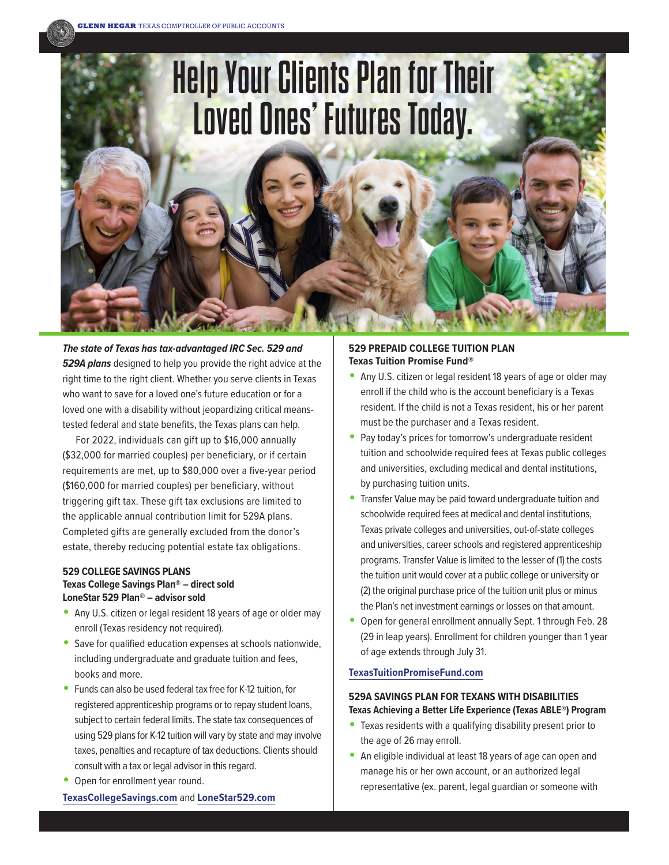

**The state of Texas has tax-advantaged IRC Sec. 529 and 529A plans** designed to help you provide the right advice at the right time to the right client. Whether you serve clients in Texas who want to save for a loved one's future education or for a loved one with a disability without jeopardizing critical meanstested federal and state benefits, the Texas plans can help.

**GLENN HEGAR** TEXAS COMPTROLLER OF PUBLIC ACCOUNTS

For 2022, individuals can gift up to \$16,000 annually (\$32,000 for married couples) per beneficiary, or if certain requirements are met, up to \$80,000 over a five-year period (\$160,000 for married couples) per beneficiary, without triggering gift tax. These gift tax exclusions are limited to the applicable annual contribution limit for 529A plans. Completed gifts are generally excluded from the donor's estate, thereby reducing potential estate tax obligations.

# **529 COLLEGE SAVINGS PLANS Texas College Savings Plan® – direct sold LoneStar 529 Plan® – advisor sold**

- Any U.S. citizen or legal resident 18 years of age or older may enroll (Texas residency not required).
- Save for qualified education expenses at schools nationwide, including undergraduate and graduate tuition and fees, books and more.
- Funds can also be used federal tax free for K-12 tuition, for registered apprenticeship programs or to repay student loans, subject to certain federal limits. The state tax consequences of using 529 plans for K-12 tuition will vary by state and may involve taxes, penalties and recapture of tax deductions. Clients should consult with a tax or legal advisor in this regard.
- Open for enrollment year round.

**[TexasCollegeSavings.com](http://texascollegesavings.com)** and **[LoneStar529.com](http://lonestar529.com)**

# **529 PREPAID COLLEGE TUITION PLAN Texas Tuition Promise Fund®**

- Any U.S. citizen or legal resident 18 years of age or older may enroll if the child who is the account beneficiary is a Texas resident. If the child is not a Texas resident, his or her parent must be the purchaser and a Texas resident.
- Pay today's prices for tomorrow's undergraduate resident tuition and schoolwide required fees at Texas public colleges and universities, excluding medical and dental institutions, by purchasing tuition units.
- Transfer Value may be paid toward undergraduate tuition and schoolwide required fees at medical and dental institutions, Texas private colleges and universities, out-of-state colleges and universities, career schools and registered apprenticeship programs. Transfer Value is limited to the lesser of (1) the costs the tuition unit would cover at a public college or university or (2) the original purchase price of the tuition unit plus or minus the Plan's net investment earnings or losses on that amount.
- Open for general enrollment annually Sept. 1 through Feb. 28 (29 in leap years). Enrollment for children younger than 1 year of age extends through July 31.

## **[TexasTuitionPromiseFund.com](http://texastuitionpromisefund.com)**

# **529A SAVINGS PLAN FOR TEXANS WITH DISABILITIES Texas Achieving a Better Life Experience (Texas ABLE®) Program**

- Texas residents with a qualifying disability present prior to the age of 26 may enroll.
- An eligible individual at least 18 years of age can open and manage his or her own account, or an authorized legal representative (ex. parent, legal guardian or someone with